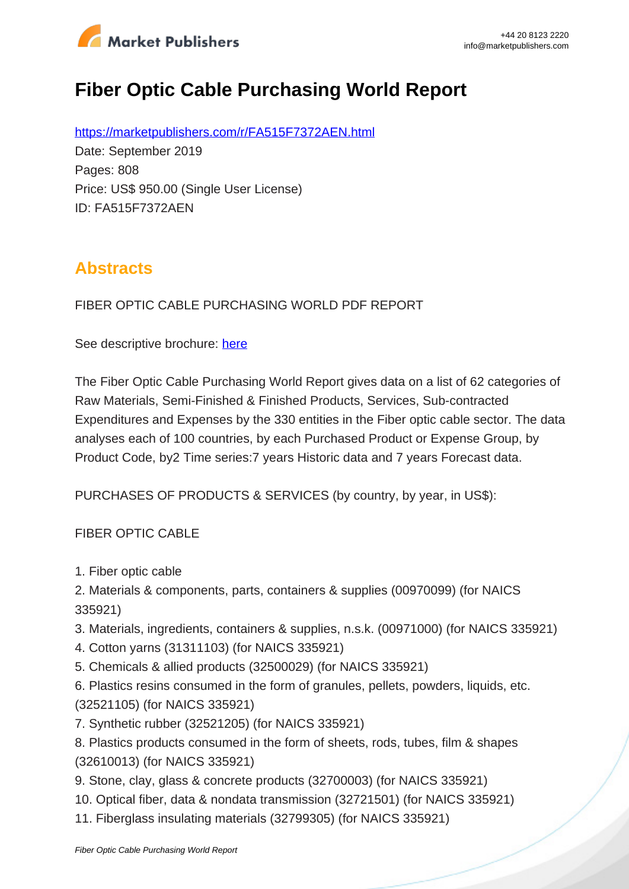

# **Fiber Optic Cable Purchasing World Report**

https://marketpublishers.com/r/FA515F7372AEN.html Date: September 2019 Pages: 808 Price: US\$ 950.00 (Single User License) ID: FA515F7372AEN

## **Abstracts**

FIBER OPTIC CABLE PURCHASING WORLD PDF REPORT

See descriptive brochure: here

The Fiber Optic Cable Purchasing World Report gives data on a list of 62 categories of Raw Materials, Semi-Finished & Finished Products, Services, Sub-contracted Expenditures and Expenses by the 330 entities in the Fiber optic cable sector. The data analyses each of 100 countries, by each Purchased Product or Expense Group, by Product Code, by2 Time series:7 years Historic data and 7 years Forecast data.

PURCHASES OF PRODUCTS & SERVICES (by country, by year, in US\$):

#### FIBER OPTIC CABLE

- 1. Fiber optic cable
- 2. Materials & components, parts, containers & supplies (00970099) (for NAICS 335921)
- 3. Materials, ingredients, containers & supplies, n.s.k. (00971000) (for NAICS 335921)
- 4. Cotton yarns (31311103) (for NAICS 335921)
- 5. Chemicals & allied products (32500029) (for NAICS 335921)
- 6. Plastics resins consumed in the form of granules, pellets, powders, liquids, etc. (32521105) (for NAICS 335921)
- 7. Synthetic rubber (32521205) (for NAICS 335921)
- 8. Plastics products consumed in the form of sheets, rods, tubes, film & shapes (32610013) (for NAICS 335921)
- 9. Stone, clay, glass & concrete products (32700003) (for NAICS 335921)
- 10. Optical fiber, data & nondata transmission (32721501) (for NAICS 335921)
- 11. Fiberglass insulating materials (32799305) (for NAICS 335921)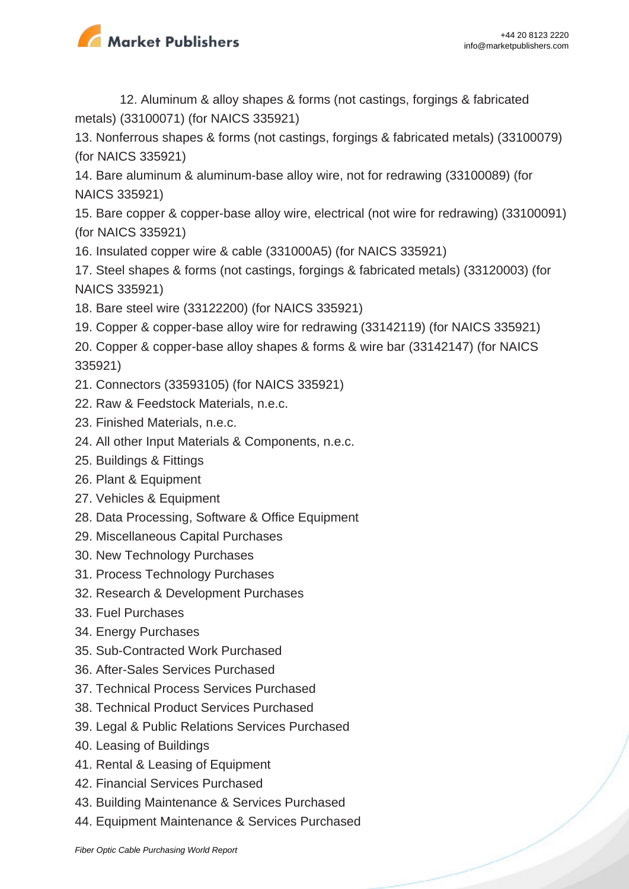

12. Aluminum & alloy shapes & forms (not castings, forgings & fabricated metals) (33100071) (for NAICS 335921)

13. Nonferrous shapes & forms (not castings, forgings & fabricated metals) (33100079) (for NAICS 335921)

14. Bare aluminum & aluminum-base alloy wire, not for redrawing (33100089) (for NAICS 335921)

15. Bare copper & copper-base alloy wire, electrical (not wire for redrawing) (33100091) (for NAICS 335921)

16. Insulated copper wire & cable (331000A5) (for NAICS 335921)

17. Steel shapes & forms (not castings, forgings & fabricated metals) (33120003) (for NAICS 335921)

- 18. Bare steel wire (33122200) (for NAICS 335921)
- 19. Copper & copper-base alloy wire for redrawing (33142119) (for NAICS 335921)

20. Copper & copper-base alloy shapes & forms & wire bar (33142147) (for NAICS 335921)

- 21. Connectors (33593105) (for NAICS 335921)
- 22. Raw & Feedstock Materials, n.e.c.
- 23. Finished Materials, n.e.c.
- 24. All other Input Materials & Components, n.e.c.
- 25. Buildings & Fittings
- 26. Plant & Equipment
- 27. Vehicles & Equipment
- 28. Data Processing, Software & Office Equipment
- 29. Miscellaneous Capital Purchases
- 30. New Technology Purchases
- 31. Process Technology Purchases
- 32. Research & Development Purchases
- 33. Fuel Purchases
- 34. Energy Purchases
- 35. Sub-Contracted Work Purchased
- 36. After-Sales Services Purchased
- 37. Technical Process Services Purchased
- 38. Technical Product Services Purchased
- 39. Legal & Public Relations Services Purchased
- 40. Leasing of Buildings
- 41. Rental & Leasing of Equipment
- 42. Financial Services Purchased
- 43. Building Maintenance & Services Purchased
- 44. Equipment Maintenance & Services Purchased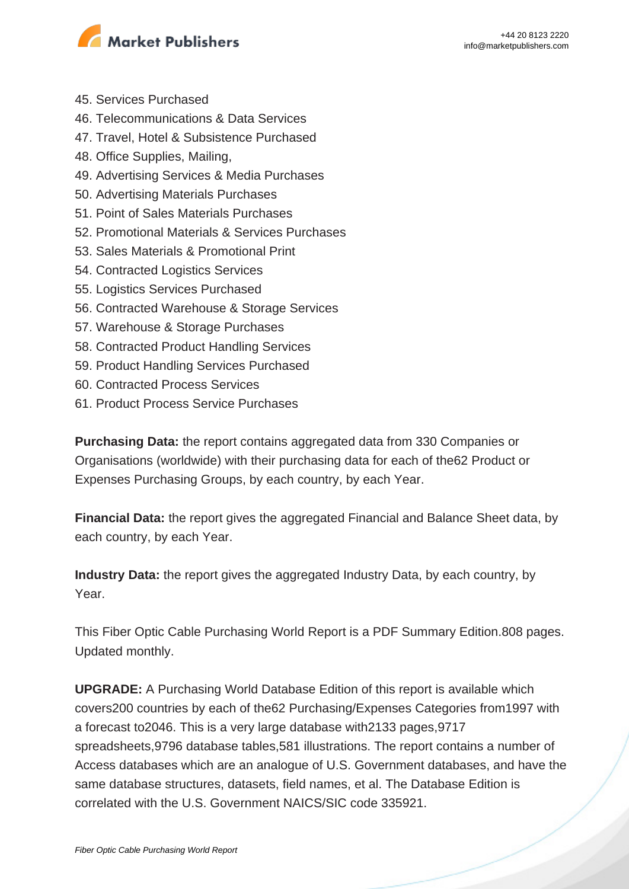

- 45. Services Purchased
- 46. Telecommunications & Data Services
- 47. Travel, Hotel & Subsistence Purchased
- 48. Office Supplies, Mailing,
- 49. Advertising Services & Media Purchases
- 50. Advertising Materials Purchases
- 51. Point of Sales Materials Purchases
- 52. Promotional Materials & Services Purchases
- 53. Sales Materials & Promotional Print
- 54. Contracted Logistics Services
- 55. Logistics Services Purchased
- 56. Contracted Warehouse & Storage Services
- 57. Warehouse & Storage Purchases
- 58. Contracted Product Handling Services
- 59. Product Handling Services Purchased
- 60. Contracted Process Services
- 61. Product Process Service Purchases

**Purchasing Data:** the report contains aggregated data from 330 Companies or Organisations (worldwide) with their purchasing data for each of the62 Product or Expenses Purchasing Groups, by each country, by each Year.

**Financial Data:** the report gives the aggregated Financial and Balance Sheet data, by each country, by each Year.

**Industry Data:** the report gives the aggregated Industry Data, by each country, by Year.

This Fiber Optic Cable Purchasing World Report is a PDF Summary Edition.808 pages. Updated monthly.

**UPGRADE:** A Purchasing World Database Edition of this report is available which covers200 countries by each of the62 Purchasing/Expenses Categories from1997 with a forecast to2046. This is a very large database with2133 pages,9717 spreadsheets,9796 database tables,581 illustrations. The report contains a number of Access databases which are an analogue of U.S. Government databases, and have the same database structures, datasets, field names, et al. The Database Edition is correlated with the U.S. Government NAICS/SIC code 335921.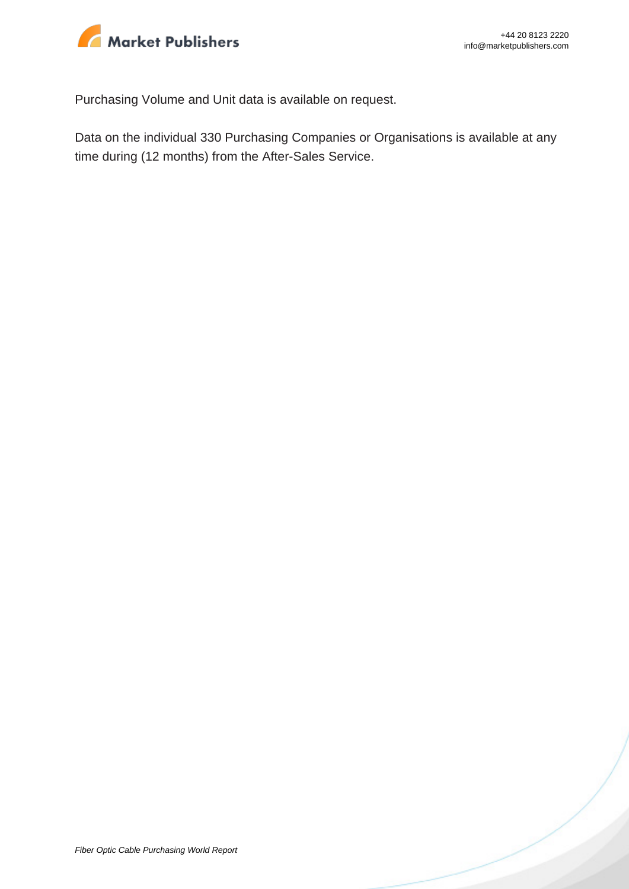

Purchasing Volume and Unit data is available on request.

Data on the individual 330 Purchasing Companies or Organisations is available at any time during (12 months) from the After-Sales Service.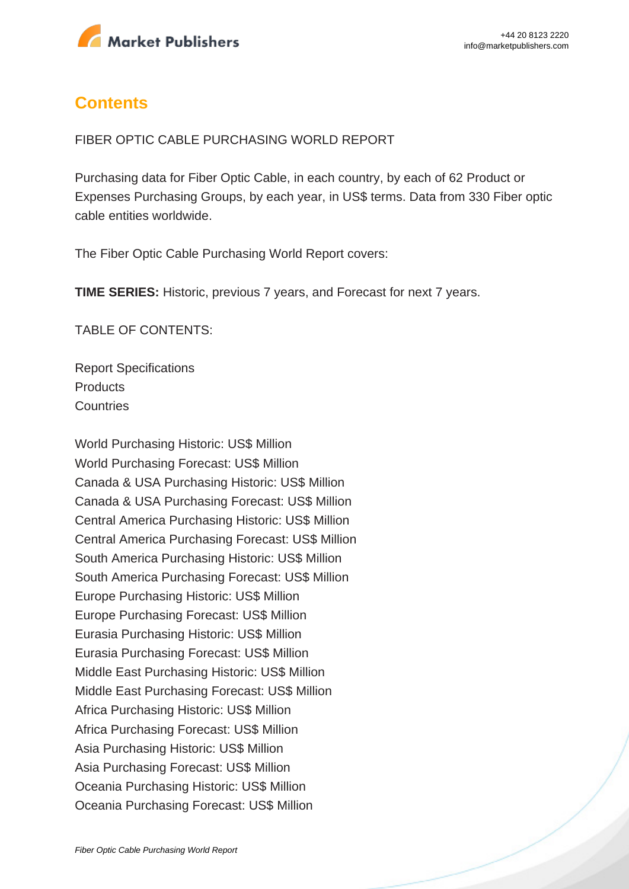

### **Contents**

FIBER OPTIC CABLE PURCHASING WORLD REPORT

Purchasing data for Fiber Optic Cable, in each country, by each of 62 Product or Expenses Purchasing Groups, by each year, in US\$ terms. Data from 330 Fiber optic cable entities worldwide.

The Fiber Optic Cable Purchasing World Report covers:

**TIME SERIES:** Historic, previous 7 years, and Forecast for next 7 years.

TABLE OF CONTENTS:

Report Specifications **Products Countries** 

World Purchasing Historic: US\$ Million World Purchasing Forecast: US\$ Million Canada & USA Purchasing Historic: US\$ Million Canada & USA Purchasing Forecast: US\$ Million Central America Purchasing Historic: US\$ Million Central America Purchasing Forecast: US\$ Million South America Purchasing Historic: US\$ Million South America Purchasing Forecast: US\$ Million Europe Purchasing Historic: US\$ Million Europe Purchasing Forecast: US\$ Million Eurasia Purchasing Historic: US\$ Million Eurasia Purchasing Forecast: US\$ Million Middle East Purchasing Historic: US\$ Million Middle East Purchasing Forecast: US\$ Million Africa Purchasing Historic: US\$ Million Africa Purchasing Forecast: US\$ Million Asia Purchasing Historic: US\$ Million Asia Purchasing Forecast: US\$ Million Oceania Purchasing Historic: US\$ Million Oceania Purchasing Forecast: US\$ Million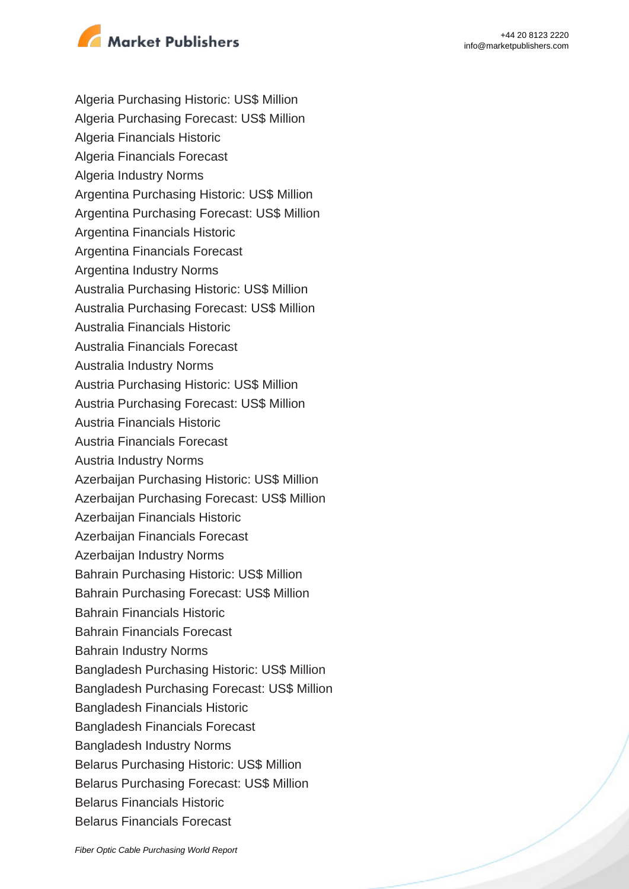

- Algeria Purchasing Historic: US\$ Million
- Algeria Purchasing Forecast: US\$ Million
- Algeria Financials Historic
- Algeria Financials Forecast
- Algeria Industry Norms
- Argentina Purchasing Historic: US\$ Million
- Argentina Purchasing Forecast: US\$ Million
- Argentina Financials Historic
- Argentina Financials Forecast
- Argentina Industry Norms
- Australia Purchasing Historic: US\$ Million
- Australia Purchasing Forecast: US\$ Million
- Australia Financials Historic
- Australia Financials Forecast
- Australia Industry Norms
- Austria Purchasing Historic: US\$ Million
- Austria Purchasing Forecast: US\$ Million
- Austria Financials Historic
- Austria Financials Forecast
- Austria Industry Norms
- Azerbaijan Purchasing Historic: US\$ Million
- Azerbaijan Purchasing Forecast: US\$ Million
- Azerbaijan Financials Historic
- Azerbaijan Financials Forecast
- Azerbaijan Industry Norms
- Bahrain Purchasing Historic: US\$ Million
- Bahrain Purchasing Forecast: US\$ Million
- Bahrain Financials Historic
- Bahrain Financials Forecast
- Bahrain Industry Norms
- Bangladesh Purchasing Historic: US\$ Million
- Bangladesh Purchasing Forecast: US\$ Million
- Bangladesh Financials Historic
- Bangladesh Financials Forecast
- Bangladesh Industry Norms
- Belarus Purchasing Historic: US\$ Million
- Belarus Purchasing Forecast: US\$ Million
- Belarus Financials Historic
- Belarus Financials Forecast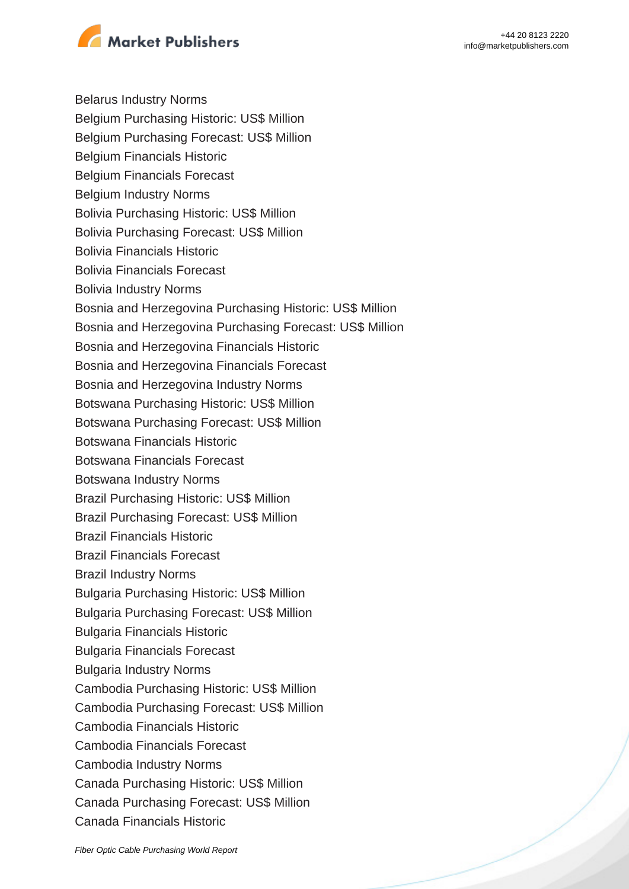

Belarus Industry Norms

- Belgium Purchasing Historic: US\$ Million
- Belgium Purchasing Forecast: US\$ Million
- Belgium Financials Historic
- Belgium Financials Forecast
- Belgium Industry Norms
- Bolivia Purchasing Historic: US\$ Million
- Bolivia Purchasing Forecast: US\$ Million
- Bolivia Financials Historic
- Bolivia Financials Forecast
- Bolivia Industry Norms
- Bosnia and Herzegovina Purchasing Historic: US\$ Million
- Bosnia and Herzegovina Purchasing Forecast: US\$ Million
- Bosnia and Herzegovina Financials Historic
- Bosnia and Herzegovina Financials Forecast
- Bosnia and Herzegovina Industry Norms
- Botswana Purchasing Historic: US\$ Million
- Botswana Purchasing Forecast: US\$ Million
- Botswana Financials Historic
- Botswana Financials Forecast
- Botswana Industry Norms
- Brazil Purchasing Historic: US\$ Million
- Brazil Purchasing Forecast: US\$ Million
- Brazil Financials Historic
- Brazil Financials Forecast
- Brazil Industry Norms
- Bulgaria Purchasing Historic: US\$ Million
- Bulgaria Purchasing Forecast: US\$ Million
- Bulgaria Financials Historic
- Bulgaria Financials Forecast
- Bulgaria Industry Norms
- Cambodia Purchasing Historic: US\$ Million
- Cambodia Purchasing Forecast: US\$ Million
- Cambodia Financials Historic
- Cambodia Financials Forecast
- Cambodia Industry Norms
- Canada Purchasing Historic: US\$ Million
- Canada Purchasing Forecast: US\$ Million
- Canada Financials Historic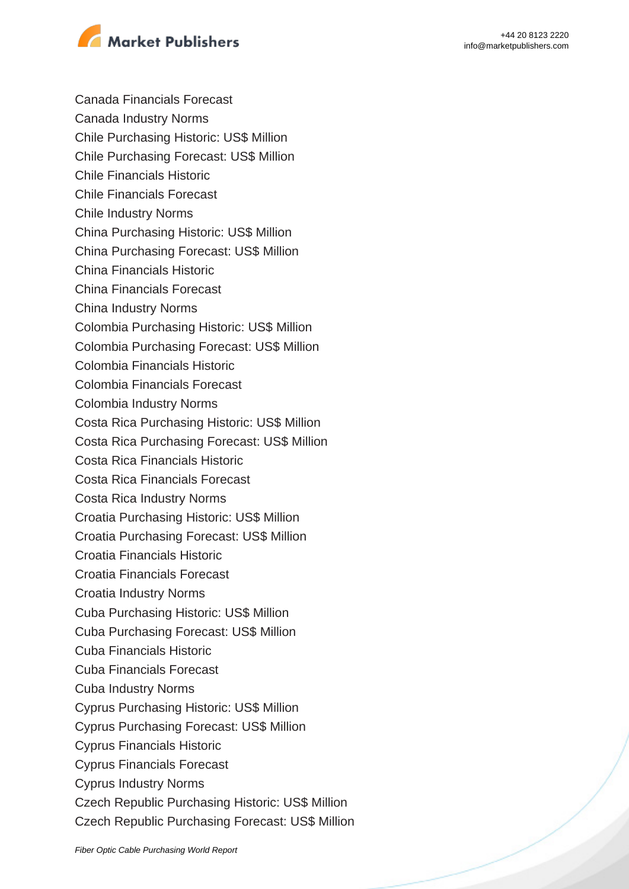



Canada Financials Forecast

- Canada Industry Norms
- Chile Purchasing Historic: US\$ Million
- Chile Purchasing Forecast: US\$ Million
- Chile Financials Historic
- Chile Financials Forecast
- Chile Industry Norms
- China Purchasing Historic: US\$ Million
- China Purchasing Forecast: US\$ Million
- China Financials Historic
- China Financials Forecast
- China Industry Norms
- Colombia Purchasing Historic: US\$ Million
- Colombia Purchasing Forecast: US\$ Million
- Colombia Financials Historic
- Colombia Financials Forecast
- Colombia Industry Norms
- Costa Rica Purchasing Historic: US\$ Million
- Costa Rica Purchasing Forecast: US\$ Million
- Costa Rica Financials Historic
- Costa Rica Financials Forecast
- Costa Rica Industry Norms
- Croatia Purchasing Historic: US\$ Million
- Croatia Purchasing Forecast: US\$ Million
- Croatia Financials Historic
- Croatia Financials Forecast
- Croatia Industry Norms
- Cuba Purchasing Historic: US\$ Million
- Cuba Purchasing Forecast: US\$ Million
- Cuba Financials Historic
- Cuba Financials Forecast
- Cuba Industry Norms
- Cyprus Purchasing Historic: US\$ Million
- Cyprus Purchasing Forecast: US\$ Million
- Cyprus Financials Historic
- Cyprus Financials Forecast
- Cyprus Industry Norms
- Czech Republic Purchasing Historic: US\$ Million
- Czech Republic Purchasing Forecast: US\$ Million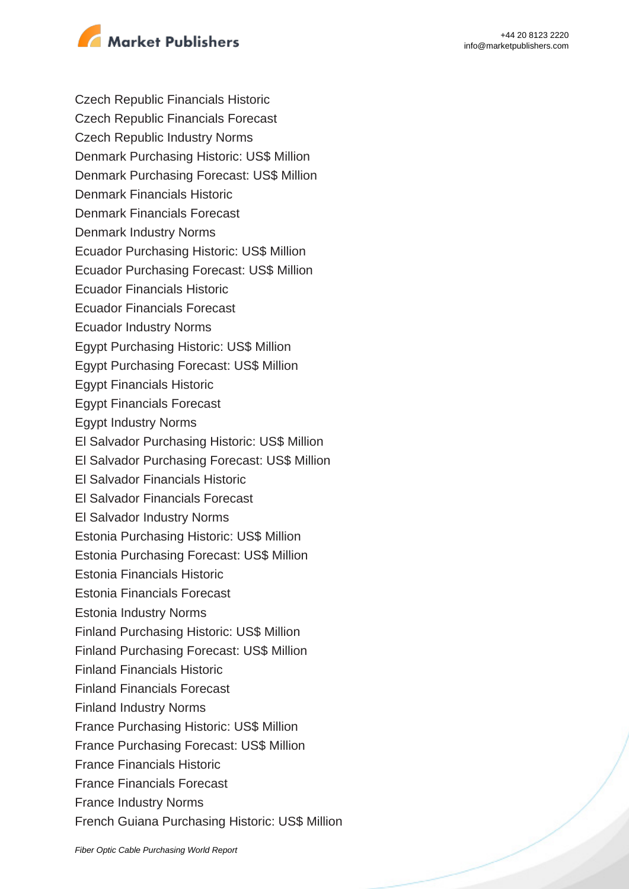

Czech Republic Financials Historic

Czech Republic Financials Forecast

Czech Republic Industry Norms

Denmark Purchasing Historic: US\$ Million

Denmark Purchasing Forecast: US\$ Million

Denmark Financials Historic

Denmark Financials Forecast

Denmark Industry Norms

Ecuador Purchasing Historic: US\$ Million

Ecuador Purchasing Forecast: US\$ Million

Ecuador Financials Historic

Ecuador Financials Forecast

Ecuador Industry Norms

Egypt Purchasing Historic: US\$ Million

Egypt Purchasing Forecast: US\$ Million

Egypt Financials Historic

Egypt Financials Forecast

Egypt Industry Norms

El Salvador Purchasing Historic: US\$ Million

El Salvador Purchasing Forecast: US\$ Million

El Salvador Financials Historic

El Salvador Financials Forecast

El Salvador Industry Norms

Estonia Purchasing Historic: US\$ Million

Estonia Purchasing Forecast: US\$ Million

Estonia Financials Historic

Estonia Financials Forecast

Estonia Industry Norms

Finland Purchasing Historic: US\$ Million

Finland Purchasing Forecast: US\$ Million

Finland Financials Historic

Finland Financials Forecast

Finland Industry Norms

France Purchasing Historic: US\$ Million

France Purchasing Forecast: US\$ Million

France Financials Historic

France Financials Forecast

France Industry Norms

French Guiana Purchasing Historic: US\$ Million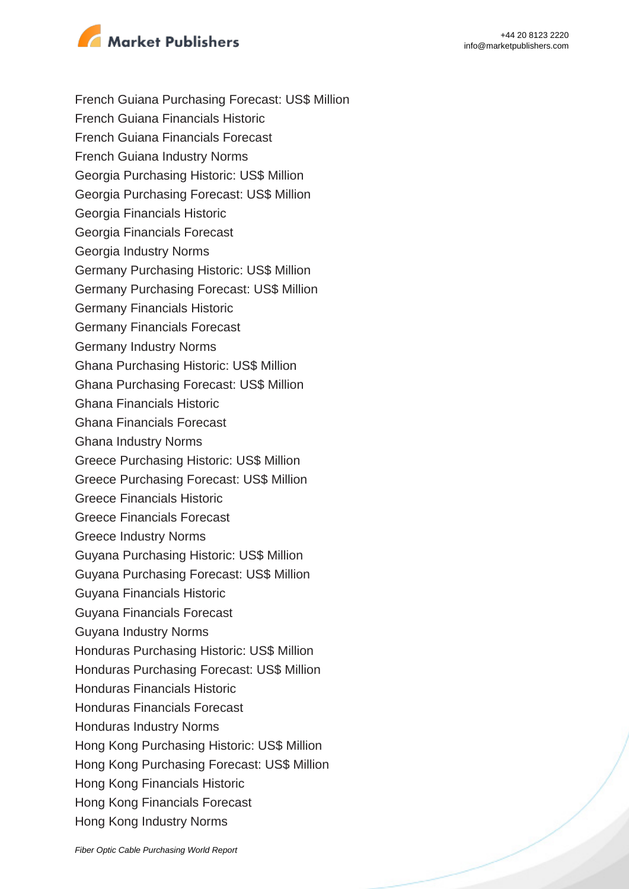

- French Guiana Purchasing Forecast: US\$ Million
- French Guiana Financials Historic
- French Guiana Financials Forecast
- French Guiana Industry Norms
- Georgia Purchasing Historic: US\$ Million
- Georgia Purchasing Forecast: US\$ Million
- Georgia Financials Historic
- Georgia Financials Forecast
- Georgia Industry Norms
- Germany Purchasing Historic: US\$ Million
- Germany Purchasing Forecast: US\$ Million
- Germany Financials Historic
- Germany Financials Forecast
- Germany Industry Norms
- Ghana Purchasing Historic: US\$ Million
- Ghana Purchasing Forecast: US\$ Million
- Ghana Financials Historic
- Ghana Financials Forecast
- Ghana Industry Norms
- Greece Purchasing Historic: US\$ Million
- Greece Purchasing Forecast: US\$ Million
- Greece Financials Historic
- Greece Financials Forecast
- Greece Industry Norms
- Guyana Purchasing Historic: US\$ Million
- Guyana Purchasing Forecast: US\$ Million
- Guyana Financials Historic
- Guyana Financials Forecast
- Guyana Industry Norms
- Honduras Purchasing Historic: US\$ Million
- Honduras Purchasing Forecast: US\$ Million
- Honduras Financials Historic
- Honduras Financials Forecast
- Honduras Industry Norms
- Hong Kong Purchasing Historic: US\$ Million
- Hong Kong Purchasing Forecast: US\$ Million
- Hong Kong Financials Historic
- Hong Kong Financials Forecast
- Hong Kong Industry Norms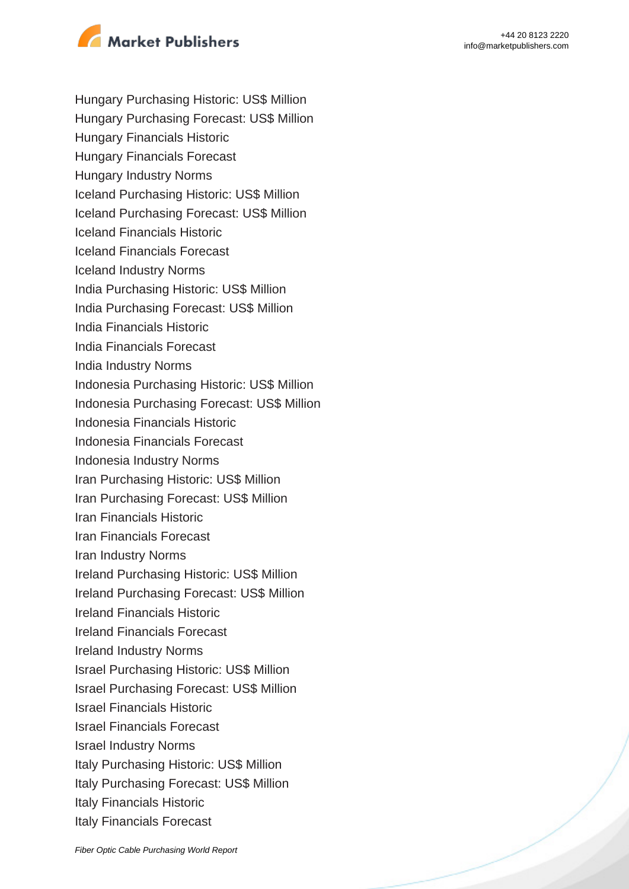

- Hungary Purchasing Historic: US\$ Million
- Hungary Purchasing Forecast: US\$ Million
- Hungary Financials Historic
- Hungary Financials Forecast
- Hungary Industry Norms
- Iceland Purchasing Historic: US\$ Million
- Iceland Purchasing Forecast: US\$ Million
- Iceland Financials Historic
- Iceland Financials Forecast
- Iceland Industry Norms
- India Purchasing Historic: US\$ Million
- India Purchasing Forecast: US\$ Million
- India Financials Historic
- India Financials Forecast
- India Industry Norms
- Indonesia Purchasing Historic: US\$ Million
- Indonesia Purchasing Forecast: US\$ Million
- Indonesia Financials Historic
- Indonesia Financials Forecast
- Indonesia Industry Norms
- Iran Purchasing Historic: US\$ Million
- Iran Purchasing Forecast: US\$ Million
- Iran Financials Historic
- Iran Financials Forecast
- Iran Industry Norms
- Ireland Purchasing Historic: US\$ Million
- Ireland Purchasing Forecast: US\$ Million
- Ireland Financials Historic
- Ireland Financials Forecast
- Ireland Industry Norms
- Israel Purchasing Historic: US\$ Million
- Israel Purchasing Forecast: US\$ Million
- Israel Financials Historic
- Israel Financials Forecast
- Israel Industry Norms
- Italy Purchasing Historic: US\$ Million
- Italy Purchasing Forecast: US\$ Million
- Italy Financials Historic
- Italy Financials Forecast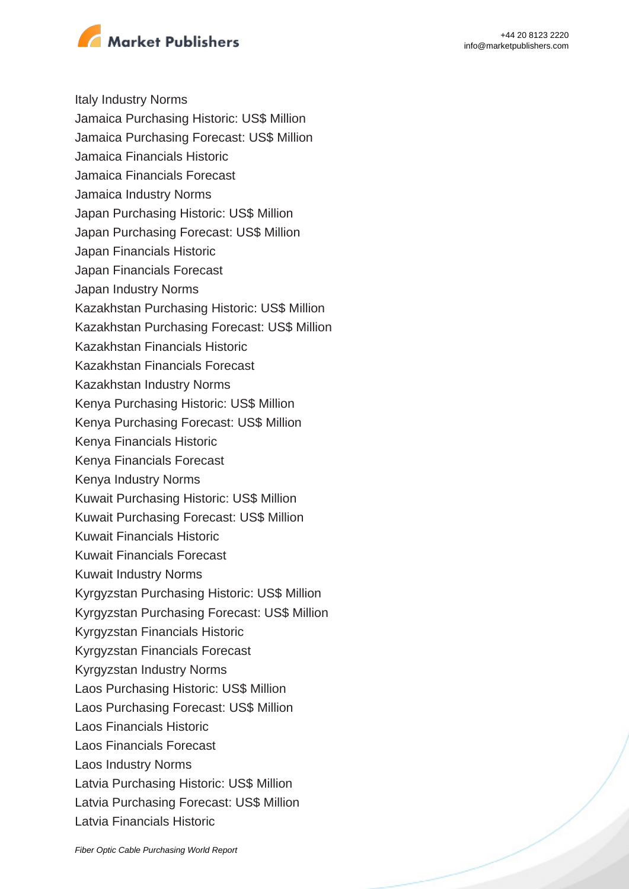

Italy Industry Norms

- Jamaica Purchasing Historic: US\$ Million
- Jamaica Purchasing Forecast: US\$ Million
- Jamaica Financials Historic
- Jamaica Financials Forecast
- Jamaica Industry Norms
- Japan Purchasing Historic: US\$ Million
- Japan Purchasing Forecast: US\$ Million
- Japan Financials Historic
- Japan Financials Forecast
- Japan Industry Norms
- Kazakhstan Purchasing Historic: US\$ Million
- Kazakhstan Purchasing Forecast: US\$ Million
- Kazakhstan Financials Historic
- Kazakhstan Financials Forecast
- Kazakhstan Industry Norms
- Kenya Purchasing Historic: US\$ Million
- Kenya Purchasing Forecast: US\$ Million
- Kenya Financials Historic
- Kenya Financials Forecast
- Kenya Industry Norms
- Kuwait Purchasing Historic: US\$ Million
- Kuwait Purchasing Forecast: US\$ Million
- Kuwait Financials Historic
- Kuwait Financials Forecast
- Kuwait Industry Norms
- Kyrgyzstan Purchasing Historic: US\$ Million
- Kyrgyzstan Purchasing Forecast: US\$ Million
- Kyrgyzstan Financials Historic
- Kyrgyzstan Financials Forecast
- Kyrgyzstan Industry Norms
- Laos Purchasing Historic: US\$ Million
- Laos Purchasing Forecast: US\$ Million
- Laos Financials Historic
- Laos Financials Forecast
- Laos Industry Norms
- Latvia Purchasing Historic: US\$ Million
- Latvia Purchasing Forecast: US\$ Million
- Latvia Financials Historic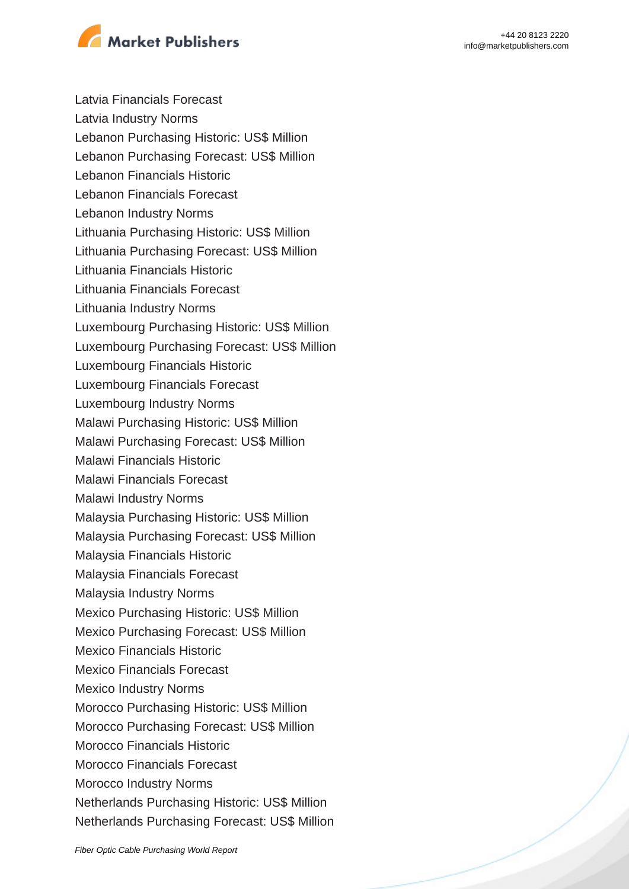

Latvia Financials Forecast

- Latvia Industry Norms
- Lebanon Purchasing Historic: US\$ Million
- Lebanon Purchasing Forecast: US\$ Million
- Lebanon Financials Historic
- Lebanon Financials Forecast
- Lebanon Industry Norms
- Lithuania Purchasing Historic: US\$ Million
- Lithuania Purchasing Forecast: US\$ Million
- Lithuania Financials Historic
- Lithuania Financials Forecast
- Lithuania Industry Norms
- Luxembourg Purchasing Historic: US\$ Million
- Luxembourg Purchasing Forecast: US\$ Million
- Luxembourg Financials Historic
- Luxembourg Financials Forecast
- Luxembourg Industry Norms
- Malawi Purchasing Historic: US\$ Million
- Malawi Purchasing Forecast: US\$ Million
- Malawi Financials Historic
- Malawi Financials Forecast
- Malawi Industry Norms
- Malaysia Purchasing Historic: US\$ Million
- Malaysia Purchasing Forecast: US\$ Million
- Malaysia Financials Historic
- Malaysia Financials Forecast
- Malaysia Industry Norms
- Mexico Purchasing Historic: US\$ Million
- Mexico Purchasing Forecast: US\$ Million
- Mexico Financials Historic
- Mexico Financials Forecast
- Mexico Industry Norms
- Morocco Purchasing Historic: US\$ Million
- Morocco Purchasing Forecast: US\$ Million
- Morocco Financials Historic
- Morocco Financials Forecast
- Morocco Industry Norms
- Netherlands Purchasing Historic: US\$ Million
- Netherlands Purchasing Forecast: US\$ Million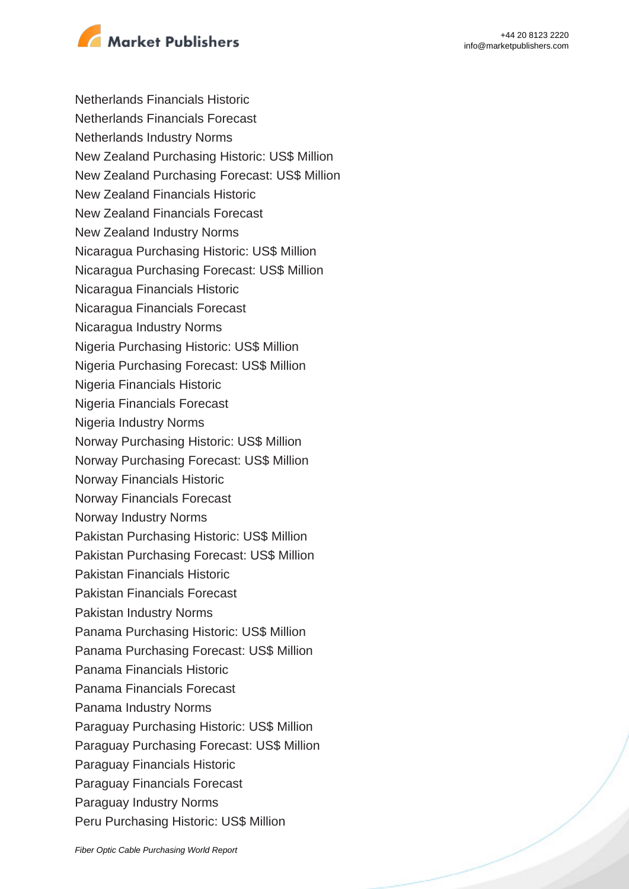



Netherlands Financials Historic Netherlands Financials Forecast Netherlands Industry Norms New Zealand Purchasing Historic: US\$ Million New Zealand Purchasing Forecast: US\$ Million New Zealand Financials Historic New Zealand Financials Forecast New Zealand Industry Norms Nicaragua Purchasing Historic: US\$ Million Nicaragua Purchasing Forecast: US\$ Million Nicaragua Financials Historic Nicaragua Financials Forecast Nicaragua Industry Norms Nigeria Purchasing Historic: US\$ Million Nigeria Purchasing Forecast: US\$ Million Nigeria Financials Historic Nigeria Financials Forecast Nigeria Industry Norms Norway Purchasing Historic: US\$ Million Norway Purchasing Forecast: US\$ Million Norway Financials Historic Norway Financials Forecast Norway Industry Norms Pakistan Purchasing Historic: US\$ Million Pakistan Purchasing Forecast: US\$ Million Pakistan Financials Historic Pakistan Financials Forecast Pakistan Industry Norms Panama Purchasing Historic: US\$ Million Panama Purchasing Forecast: US\$ Million Panama Financials Historic Panama Financials Forecast Panama Industry Norms Paraguay Purchasing Historic: US\$ Million Paraguay Purchasing Forecast: US\$ Million Paraguay Financials Historic Paraguay Financials Forecast Paraguay Industry Norms Peru Purchasing Historic: US\$ Million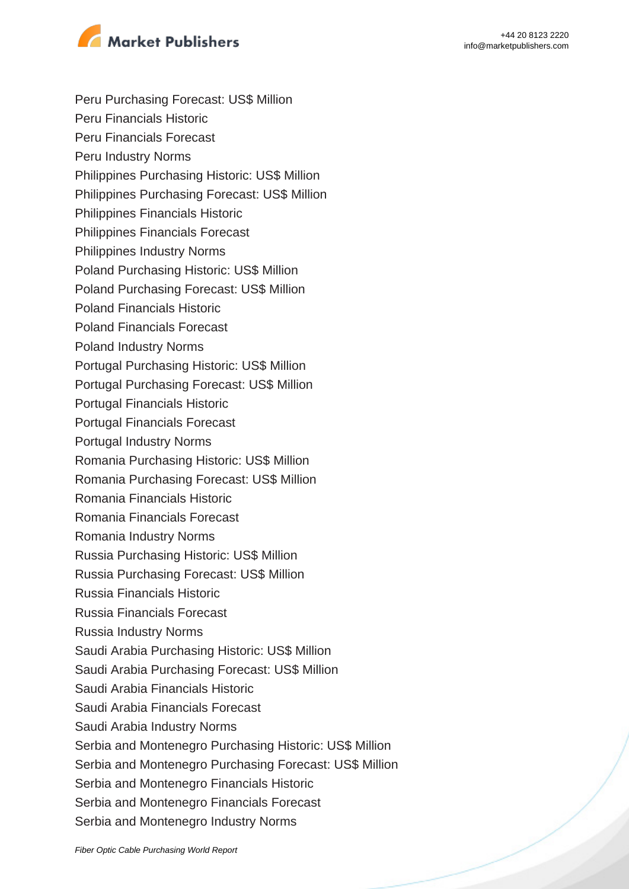

- Peru Purchasing Forecast: US\$ Million
- Peru Financials Historic
- Peru Financials Forecast
- Peru Industry Norms
- Philippines Purchasing Historic: US\$ Million
- Philippines Purchasing Forecast: US\$ Million
- Philippines Financials Historic
- Philippines Financials Forecast
- Philippines Industry Norms
- Poland Purchasing Historic: US\$ Million
- Poland Purchasing Forecast: US\$ Million
- Poland Financials Historic
- Poland Financials Forecast
- Poland Industry Norms
- Portugal Purchasing Historic: US\$ Million
- Portugal Purchasing Forecast: US\$ Million
- Portugal Financials Historic
- Portugal Financials Forecast
- Portugal Industry Norms
- Romania Purchasing Historic: US\$ Million
- Romania Purchasing Forecast: US\$ Million
- Romania Financials Historic
- Romania Financials Forecast
- Romania Industry Norms
- Russia Purchasing Historic: US\$ Million
- Russia Purchasing Forecast: US\$ Million
- Russia Financials Historic
- Russia Financials Forecast
- Russia Industry Norms
- Saudi Arabia Purchasing Historic: US\$ Million
- Saudi Arabia Purchasing Forecast: US\$ Million
- Saudi Arabia Financials Historic
- Saudi Arabia Financials Forecast
- Saudi Arabia Industry Norms
- Serbia and Montenegro Purchasing Historic: US\$ Million
- Serbia and Montenegro Purchasing Forecast: US\$ Million
- Serbia and Montenegro Financials Historic
- Serbia and Montenegro Financials Forecast
- Serbia and Montenegro Industry Norms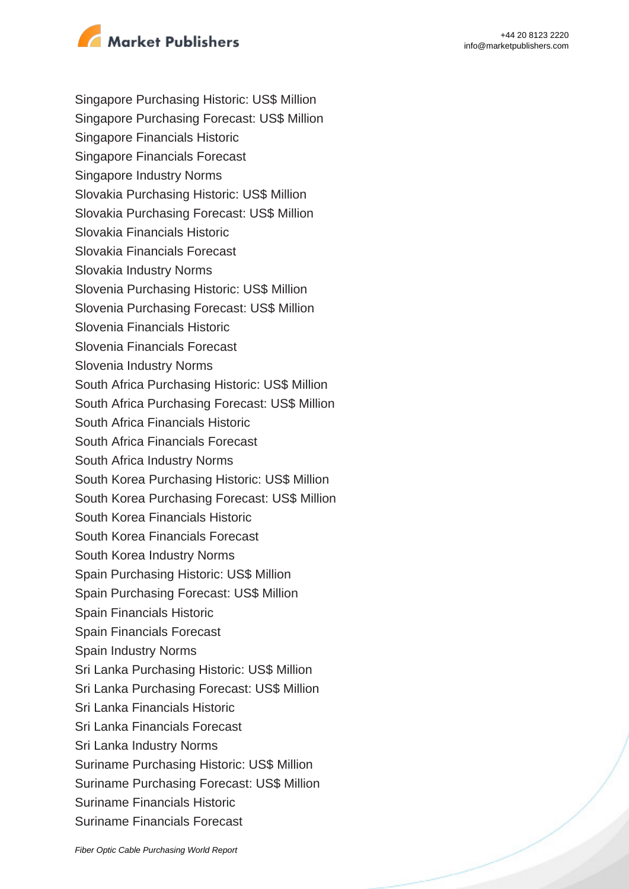

- Singapore Purchasing Historic: US\$ Million
- Singapore Purchasing Forecast: US\$ Million
- Singapore Financials Historic
- Singapore Financials Forecast
- Singapore Industry Norms
- Slovakia Purchasing Historic: US\$ Million
- Slovakia Purchasing Forecast: US\$ Million
- Slovakia Financials Historic
- Slovakia Financials Forecast
- Slovakia Industry Norms
- Slovenia Purchasing Historic: US\$ Million
- Slovenia Purchasing Forecast: US\$ Million
- Slovenia Financials Historic
- Slovenia Financials Forecast
- Slovenia Industry Norms
- South Africa Purchasing Historic: US\$ Million
- South Africa Purchasing Forecast: US\$ Million
- South Africa Financials Historic
- South Africa Financials Forecast
- South Africa Industry Norms
- South Korea Purchasing Historic: US\$ Million
- South Korea Purchasing Forecast: US\$ Million
- South Korea Financials Historic
- South Korea Financials Forecast
- South Korea Industry Norms
- Spain Purchasing Historic: US\$ Million
- Spain Purchasing Forecast: US\$ Million
- Spain Financials Historic
- Spain Financials Forecast
- Spain Industry Norms
- Sri Lanka Purchasing Historic: US\$ Million
- Sri Lanka Purchasing Forecast: US\$ Million
- Sri Lanka Financials Historic
- Sri Lanka Financials Forecast
- Sri Lanka Industry Norms
- Suriname Purchasing Historic: US\$ Million
- Suriname Purchasing Forecast: US\$ Million
- Suriname Financials Historic
- Suriname Financials Forecast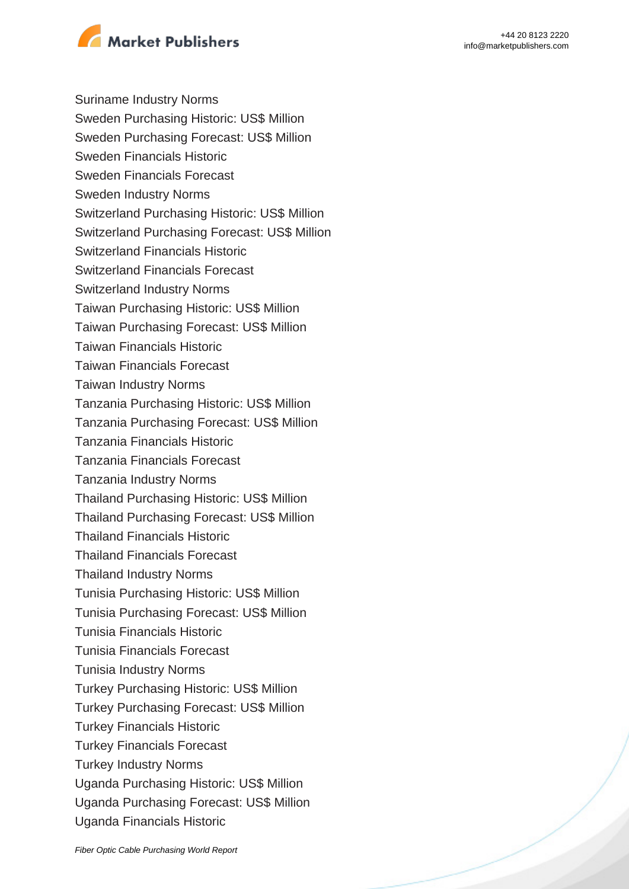

Suriname Industry Norms

- Sweden Purchasing Historic: US\$ Million
- Sweden Purchasing Forecast: US\$ Million
- Sweden Financials Historic
- Sweden Financials Forecast
- Sweden Industry Norms
- Switzerland Purchasing Historic: US\$ Million
- Switzerland Purchasing Forecast: US\$ Million
- Switzerland Financials Historic
- Switzerland Financials Forecast
- Switzerland Industry Norms
- Taiwan Purchasing Historic: US\$ Million
- Taiwan Purchasing Forecast: US\$ Million
- Taiwan Financials Historic
- Taiwan Financials Forecast
- Taiwan Industry Norms
- Tanzania Purchasing Historic: US\$ Million
- Tanzania Purchasing Forecast: US\$ Million
- Tanzania Financials Historic
- Tanzania Financials Forecast
- Tanzania Industry Norms
- Thailand Purchasing Historic: US\$ Million
- Thailand Purchasing Forecast: US\$ Million
- Thailand Financials Historic
- Thailand Financials Forecast
- Thailand Industry Norms
- Tunisia Purchasing Historic: US\$ Million
- Tunisia Purchasing Forecast: US\$ Million
- Tunisia Financials Historic
- Tunisia Financials Forecast
- Tunisia Industry Norms
- Turkey Purchasing Historic: US\$ Million
- Turkey Purchasing Forecast: US\$ Million
- Turkey Financials Historic
- Turkey Financials Forecast
- Turkey Industry Norms
- Uganda Purchasing Historic: US\$ Million
- Uganda Purchasing Forecast: US\$ Million
- Uganda Financials Historic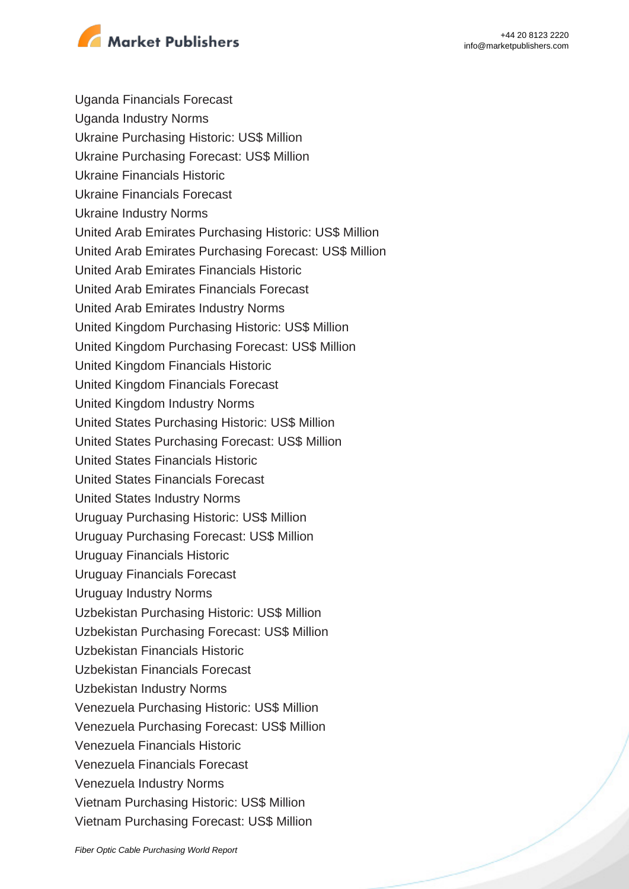

Uganda Financials Forecast Uganda Industry Norms Ukraine Purchasing Historic: US\$ Million Ukraine Purchasing Forecast: US\$ Million Ukraine Financials Historic Ukraine Financials Forecast Ukraine Industry Norms United Arab Emirates Purchasing Historic: US\$ Million United Arab Emirates Purchasing Forecast: US\$ Million United Arab Emirates Financials Historic United Arab Emirates Financials Forecast United Arab Emirates Industry Norms United Kingdom Purchasing Historic: US\$ Million United Kingdom Purchasing Forecast: US\$ Million United Kingdom Financials Historic United Kingdom Financials Forecast United Kingdom Industry Norms United States Purchasing Historic: US\$ Million United States Purchasing Forecast: US\$ Million United States Financials Historic United States Financials Forecast United States Industry Norms Uruguay Purchasing Historic: US\$ Million Uruguay Purchasing Forecast: US\$ Million Uruguay Financials Historic Uruguay Financials Forecast Uruguay Industry Norms Uzbekistan Purchasing Historic: US\$ Million Uzbekistan Purchasing Forecast: US\$ Million Uzbekistan Financials Historic Uzbekistan Financials Forecast Uzbekistan Industry Norms Venezuela Purchasing Historic: US\$ Million Venezuela Purchasing Forecast: US\$ Million Venezuela Financials Historic Venezuela Financials Forecast Venezuela Industry Norms Vietnam Purchasing Historic: US\$ Million Vietnam Purchasing Forecast: US\$ Million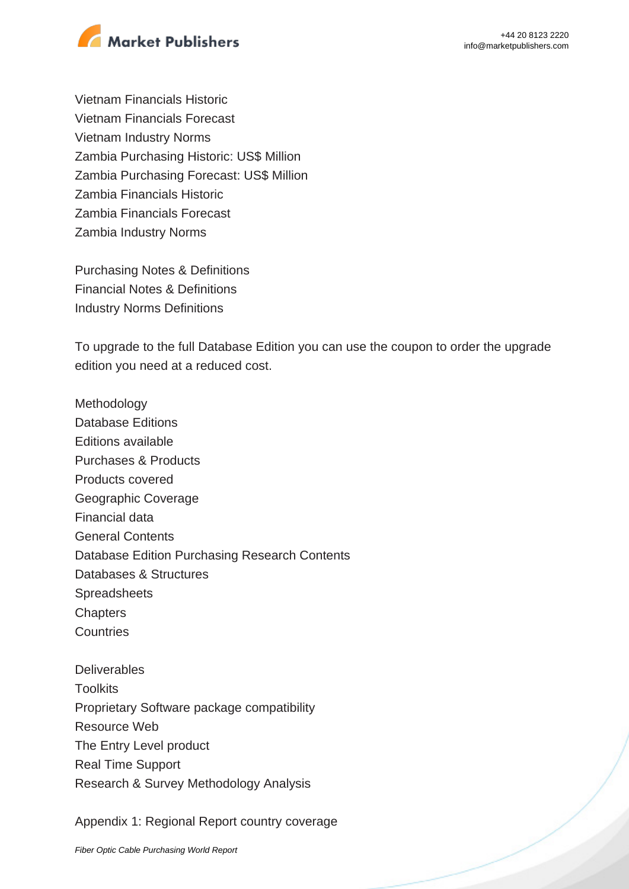

Vietnam Financials Historic Vietnam Financials Forecast Vietnam Industry Norms Zambia Purchasing Historic: US\$ Million Zambia Purchasing Forecast: US\$ Million Zambia Financials Historic Zambia Financials Forecast Zambia Industry Norms

Purchasing Notes & Definitions Financial Notes & Definitions Industry Norms Definitions

To upgrade to the full Database Edition you can use the coupon to order the upgrade edition you need at a reduced cost.

Methodology Database Editions Editions available Purchases & Products Products covered Geographic Coverage Financial data General Contents Database Edition Purchasing Research Contents Databases & Structures Spreadsheets **Chapters Countries Deliverables Toolkits** 

Proprietary Software package compatibility Resource Web The Entry Level product Real Time Support Research & Survey Methodology Analysis

Appendix 1: Regional Report country coverage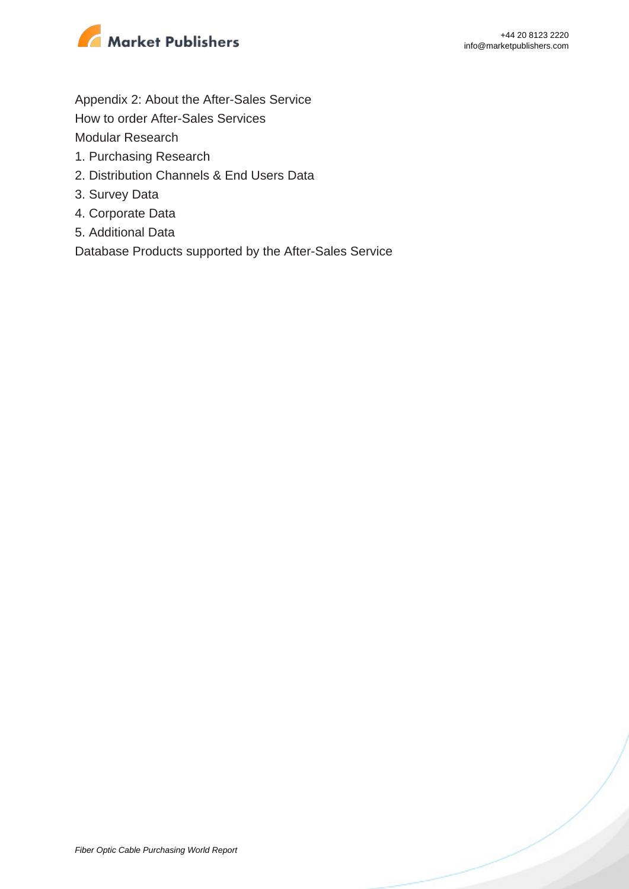

Appendix 2: About the After-Sales Service

How to order After-Sales Services

Modular Research

- 1. Purchasing Research
- 2. Distribution Channels & End Users Data
- 3. Survey Data
- 4. Corporate Data
- 5. Additional Data

Database Products supported by the After-Sales Service